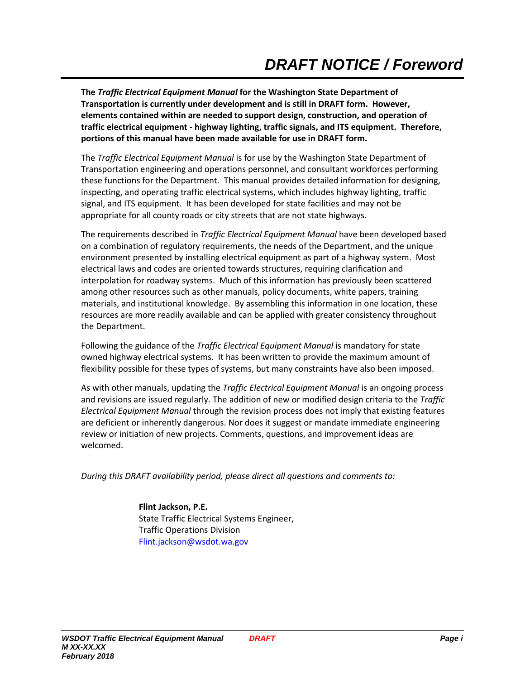**The** *Traffic Electrical Equipment Manual* **for the Washington State Department of Transportation is currently under development and is still in DRAFT form. However, elements contained within are needed to support design, construction, and operation of traffic electrical equipment - highway lighting, traffic signals, and ITS equipment. Therefore, portions of this manual have been made available for use in DRAFT form.** 

The *Traffic Electrical Equipment Manual* is for use by the Washington State Department of Transportation engineering and operations personnel, and consultant workforces performing these functions for the Department. This manual provides detailed information for designing, inspecting, and operating traffic electrical systems, which includes highway lighting, traffic signal, and ITS equipment. It has been developed for state facilities and may not be appropriate for all county roads or city streets that are not state highways.

The requirements described in *Traffic Electrical Equipment Manual* have been developed based on a combination of regulatory requirements, the needs of the Department, and the unique environment presented by installing electrical equipment as part of a highway system. Most electrical laws and codes are oriented towards structures, requiring clarification and interpolation for roadway systems. Much of this information has previously been scattered among other resources such as other manuals, policy documents, white papers, training materials, and institutional knowledge. By assembling this information in one location, these resources are more readily available and can be applied with greater consistency throughout the Department.

Following the guidance of the *Traffic Electrical Equipment Manual* is mandatory for state owned highway electrical systems. It has been written to provide the maximum amount of flexibility possible for these types of systems, but many constraints have also been imposed.

As with other manuals, updating the *Traffic Electrical Equipment Manual* is an ongoing process and revisions are issued regularly. The addition of new or modified design criteria to the *Traffic Electrical Equipment Manual* through the revision process does not imply that existing features are deficient or inherently dangerous. Nor does it suggest or mandate immediate engineering review or initiation of new projects. Comments, questions, and improvement ideas are welcomed.

*During this DRAFT availability period, please direct all questions and comments to:* 

**Flint Jackson, P.E.**  State Traffic Electrical Systems Engineer, Traffic Operations Division Flint.jackson@wsdot.wa.gov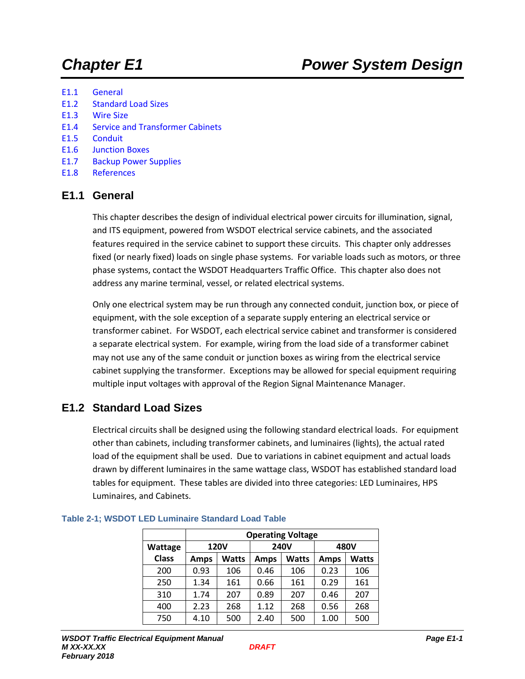- E1.1 General
- E1.2 Standard Load Sizes
- E1.3 Wire Size
- E1.4 Service and Transformer Cabinets
- E1.5 Conduit
- E1.6 Junction Boxes
- E1.7 Backup Power Supplies
- E1.8 References

## **E1.1 General**

This chapter describes the design of individual electrical power circuits for illumination, signal, and ITS equipment, powered from WSDOT electrical service cabinets, and the associated features required in the service cabinet to support these circuits. This chapter only addresses fixed (or nearly fixed) loads on single phase systems. For variable loads such as motors, or three phase systems, contact the WSDOT Headquarters Traffic Office. This chapter also does not address any marine terminal, vessel, or related electrical systems.

Only one electrical system may be run through any connected conduit, junction box, or piece of equipment, with the sole exception of a separate supply entering an electrical service or transformer cabinet. For WSDOT, each electrical service cabinet and transformer is considered a separate electrical system. For example, wiring from the load side of a transformer cabinet may not use any of the same conduit or junction boxes as wiring from the electrical service cabinet supplying the transformer. Exceptions may be allowed for special equipment requiring multiple input voltages with approval of the Region Signal Maintenance Manager.

## **E1.2 Standard Load Sizes**

Electrical circuits shall be designed using the following standard electrical loads. For equipment other than cabinets, including transformer cabinets, and luminaires (lights), the actual rated load of the equipment shall be used. Due to variations in cabinet equipment and actual loads drawn by different luminaires in the same wattage class, WSDOT has established standard load tables for equipment. These tables are divided into three categories: LED Luminaires, HPS Luminaires, and Cabinets.

|              | <b>Operating Voltage</b> |              |             |              |             |              |  |  |  |
|--------------|--------------------------|--------------|-------------|--------------|-------------|--------------|--|--|--|
| Wattage      |                          | <b>120V</b>  |             | <b>240V</b>  |             | 480V         |  |  |  |
| <b>Class</b> | <b>Amps</b>              | <b>Watts</b> | <b>Amps</b> | <b>Watts</b> | <b>Amps</b> | <b>Watts</b> |  |  |  |
| 200          | 0.93                     | 106          | 0.46        | 106          | 0.23        | 106          |  |  |  |
| 250          | 1.34                     | 161          | 0.66        | 161          | 0.29        | 161          |  |  |  |
| 310          | 1.74                     | 207          | 0.89        | 207          | 0.46        | 207          |  |  |  |
| 400          | 2.23                     | 268          | 1.12        | 268          | 0.56        | 268          |  |  |  |
| 750          | 4.10                     | 500          | 2.40        | 500          | 1.00        | 500          |  |  |  |

#### **Table 2-1; WSDOT LED Luminaire Standard Load Table**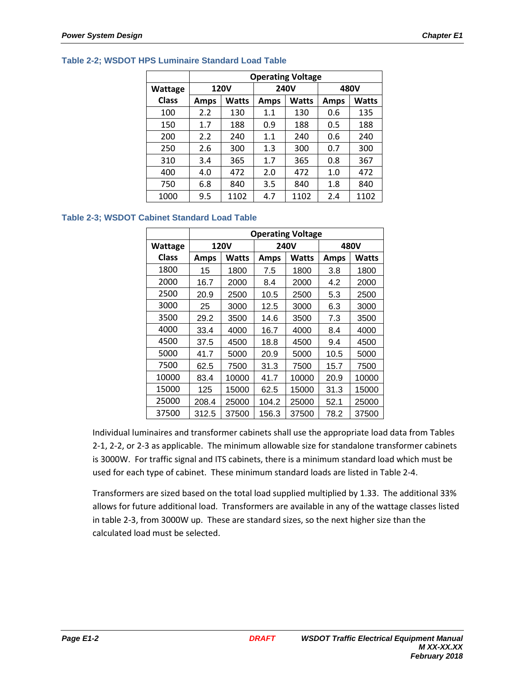|              | <b>Operating Voltage</b> |              |             |              |             |              |  |  |  |  |
|--------------|--------------------------|--------------|-------------|--------------|-------------|--------------|--|--|--|--|
| Wattage      |                          | <b>120V</b>  |             | <b>240V</b>  |             | 480V         |  |  |  |  |
| <b>Class</b> | <b>Amps</b>              | <b>Watts</b> | <b>Amps</b> | <b>Watts</b> | <b>Amps</b> | <b>Watts</b> |  |  |  |  |
| 100          | 2.2                      | 130          | 1.1         | 130          | 0.6         | 135          |  |  |  |  |
| 150          | 1.7                      | 188          | 0.9         | 188          | 0.5         | 188          |  |  |  |  |
| 200          | 2.2                      | 240          | 1.1         | 240          | 0.6         | 240          |  |  |  |  |
| 250          | 2.6                      | 300          | 1.3         | 300          | 0.7         | 300          |  |  |  |  |
| 310          | 3.4                      | 365          | 1.7         | 365          | 0.8         | 367          |  |  |  |  |
| 400          | 4.0                      | 472          | 2.0         | 472          | 1.0         | 472          |  |  |  |  |
| 750          | 6.8                      | 840          | 3.5         | 840          | 1.8         | 840          |  |  |  |  |
| 1000         | 9.5                      | 1102         | 4.7         | 1102         | 2.4         | 1102         |  |  |  |  |

#### **Table 2-2; WSDOT HPS Luminaire Standard Load Table**

#### **Table 2-3; WSDOT Cabinet Standard Load Table**

|              |             | <b>Operating Voltage</b> |             |              |             |              |  |  |  |  |
|--------------|-------------|--------------------------|-------------|--------------|-------------|--------------|--|--|--|--|
| Wattage      |             | <b>120V</b>              |             | <b>240V</b>  |             | 480V         |  |  |  |  |
| <b>Class</b> | <b>Amps</b> | <b>Watts</b>             | <b>Amps</b> | <b>Watts</b> | <b>Amps</b> | <b>Watts</b> |  |  |  |  |
| 1800         | 15          | 1800                     | 7.5         | 1800         | 3.8         | 1800         |  |  |  |  |
| 2000         | 16.7        | 2000                     | 8.4         | 2000         | 4.2         | 2000         |  |  |  |  |
| 2500         | 20.9        | 2500                     | 10.5        | 2500         | 5.3         | 2500         |  |  |  |  |
| 3000         | 25          | 3000                     | 12.5        | 3000         | 6.3         | 3000         |  |  |  |  |
| 3500         | 29.2        | 3500                     | 14.6        | 3500         | 7.3         | 3500         |  |  |  |  |
| 4000         | 33.4        | 4000                     | 16.7        | 4000         | 8.4         | 4000         |  |  |  |  |
| 4500         | 37.5        | 4500                     | 18.8        | 4500         | 9.4         | 4500         |  |  |  |  |
| 5000         | 41.7        | 5000                     | 20.9        | 5000         | 10.5        | 5000         |  |  |  |  |
| 7500         | 62.5        | 7500                     | 31.3        | 7500         | 15.7        | 7500         |  |  |  |  |
| 10000        | 83.4        | 10000                    | 41.7        | 10000        | 20.9        | 10000        |  |  |  |  |
| 15000        | 125         | 15000                    | 62.5        | 15000        | 31.3        | 15000        |  |  |  |  |
| 25000        | 208.4       | 25000                    | 104.2       | 25000        | 52.1        | 25000        |  |  |  |  |
| 37500        | 312.5       | 37500                    | 156.3       | 37500        | 78.2        | 37500        |  |  |  |  |

Individual luminaires and transformer cabinets shall use the appropriate load data from Tables 2-1, 2-2, or 2-3 as applicable. The minimum allowable size for standalone transformer cabinets is 3000W. For traffic signal and ITS cabinets, there is a minimum standard load which must be used for each type of cabinet. These minimum standard loads are listed in Table 2-4.

Transformers are sized based on the total load supplied multiplied by 1.33. The additional 33% allows for future additional load. Transformers are available in any of the wattage classes listed in table 2-3, from 3000W up. These are standard sizes, so the next higher size than the calculated load must be selected.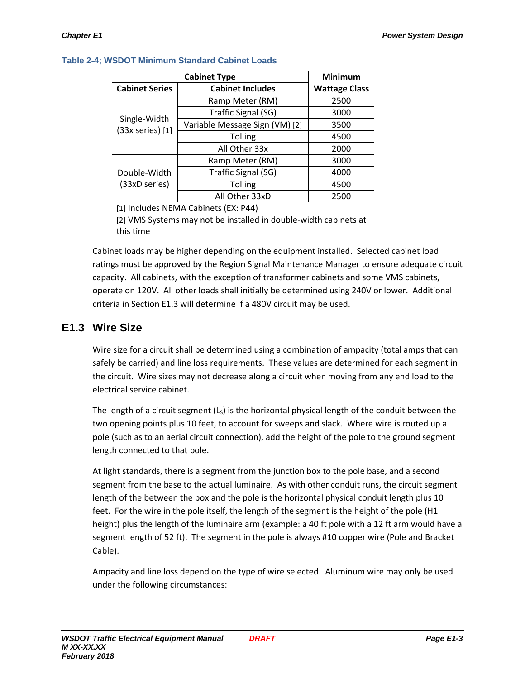|                                                                  | <b>Cabinet Type</b>                  | <b>Minimum</b>       |  |  |  |  |
|------------------------------------------------------------------|--------------------------------------|----------------------|--|--|--|--|
| <b>Cabinet Series</b>                                            | <b>Cabinet Includes</b>              | <b>Wattage Class</b> |  |  |  |  |
|                                                                  | Ramp Meter (RM)                      | 2500                 |  |  |  |  |
|                                                                  | Traffic Signal (SG)                  | 3000                 |  |  |  |  |
| Single-Width<br>$(33x$ series $)$ [1]                            | Variable Message Sign (VM) [2]       | 3500                 |  |  |  |  |
|                                                                  | <b>Tolling</b>                       | 4500                 |  |  |  |  |
|                                                                  | All Other 33x                        | 2000                 |  |  |  |  |
|                                                                  | Ramp Meter (RM)                      | 3000                 |  |  |  |  |
| Double-Width                                                     | Traffic Signal (SG)                  | 4000                 |  |  |  |  |
| (33xD series)                                                    | <b>Tolling</b>                       | 4500                 |  |  |  |  |
|                                                                  | All Other 33xD                       | 2500                 |  |  |  |  |
|                                                                  | [1] Includes NEMA Cabinets (EX: P44) |                      |  |  |  |  |
| [2] VMS Systems may not be installed in double-width cabinets at |                                      |                      |  |  |  |  |
| this time                                                        |                                      |                      |  |  |  |  |

#### **Table 2-4; WSDOT Minimum Standard Cabinet Loads**

Cabinet loads may be higher depending on the equipment installed. Selected cabinet load ratings must be approved by the Region Signal Maintenance Manager to ensure adequate circuit capacity. All cabinets, with the exception of transformer cabinets and some VMS cabinets, operate on 120V. All other loads shall initially be determined using 240V or lower. Additional criteria in Section E1.3 will determine if a 480V circuit may be used.

## **E1.3 Wire Size**

Wire size for a circuit shall be determined using a combination of ampacity (total amps that can safely be carried) and line loss requirements. These values are determined for each segment in the circuit. Wire sizes may not decrease along a circuit when moving from any end load to the electrical service cabinet.

The length of a circuit segment  $(L<sub>s</sub>)$  is the horizontal physical length of the conduit between the two opening points plus 10 feet, to account for sweeps and slack. Where wire is routed up a pole (such as to an aerial circuit connection), add the height of the pole to the ground segment length connected to that pole.

At light standards, there is a segment from the junction box to the pole base, and a second segment from the base to the actual luminaire. As with other conduit runs, the circuit segment length of the between the box and the pole is the horizontal physical conduit length plus 10 feet. For the wire in the pole itself, the length of the segment is the height of the pole (H1 height) plus the length of the luminaire arm (example: a 40 ft pole with a 12 ft arm would have a segment length of 52 ft). The segment in the pole is always #10 copper wire (Pole and Bracket Cable).

Ampacity and line loss depend on the type of wire selected. Aluminum wire may only be used under the following circumstances: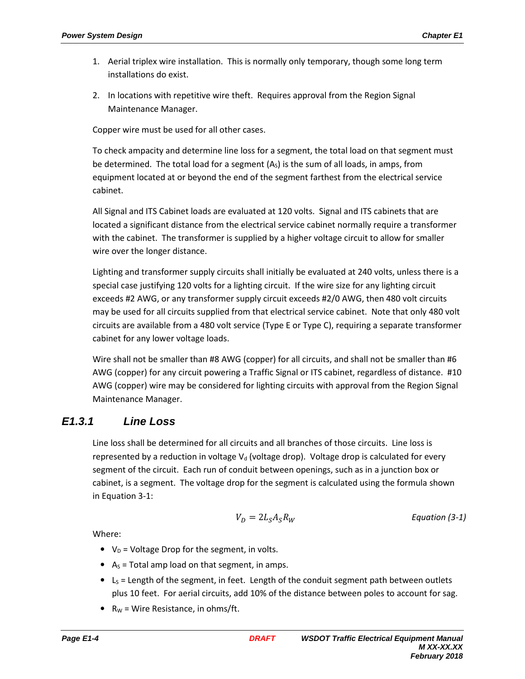- 1. Aerial triplex wire installation. This is normally only temporary, though some long term installations do exist.
- 2. In locations with repetitive wire theft. Requires approval from the Region Signal Maintenance Manager.

Copper wire must be used for all other cases.

To check ampacity and determine line loss for a segment, the total load on that segment must be determined. The total load for a segment  $(A<sub>s</sub>)$  is the sum of all loads, in amps, from equipment located at or beyond the end of the segment farthest from the electrical service cabinet.

All Signal and ITS Cabinet loads are evaluated at 120 volts. Signal and ITS cabinets that are located a significant distance from the electrical service cabinet normally require a transformer with the cabinet. The transformer is supplied by a higher voltage circuit to allow for smaller wire over the longer distance.

Lighting and transformer supply circuits shall initially be evaluated at 240 volts, unless there is a special case justifying 120 volts for a lighting circuit. If the wire size for any lighting circuit exceeds #2 AWG, or any transformer supply circuit exceeds #2/0 AWG, then 480 volt circuits may be used for all circuits supplied from that electrical service cabinet. Note that only 480 volt circuits are available from a 480 volt service (Type E or Type C), requiring a separate transformer cabinet for any lower voltage loads.

Wire shall not be smaller than #8 AWG (copper) for all circuits, and shall not be smaller than #6 AWG (copper) for any circuit powering a Traffic Signal or ITS cabinet, regardless of distance. #10 AWG (copper) wire may be considered for lighting circuits with approval from the Region Signal Maintenance Manager.

## **E1.3.1 Line Loss**

Line loss shall be determined for all circuits and all branches of those circuits. Line loss is represented by a reduction in voltage  $V<sub>d</sub>$  (voltage drop). Voltage drop is calculated for every segment of the circuit. Each run of conduit between openings, such as in a junction box or cabinet, is a segment. The voltage drop for the segment is calculated using the formula shown in Equation 3-1:

$$
V_D = 2L_S A_S R_W
$$
 *Equation (3-1)*

Where:

- $V_D$  = Voltage Drop for the segment, in volts.
- $A<sub>S</sub>$  = Total amp load on that segment, in amps.
- $\bullet$  L<sub>S</sub> = Length of the segment, in feet. Length of the conduit segment path between outlets plus 10 feet. For aerial circuits, add 10% of the distance between poles to account for sag.
- $R_W = W$ ire Resistance, in ohms/ft.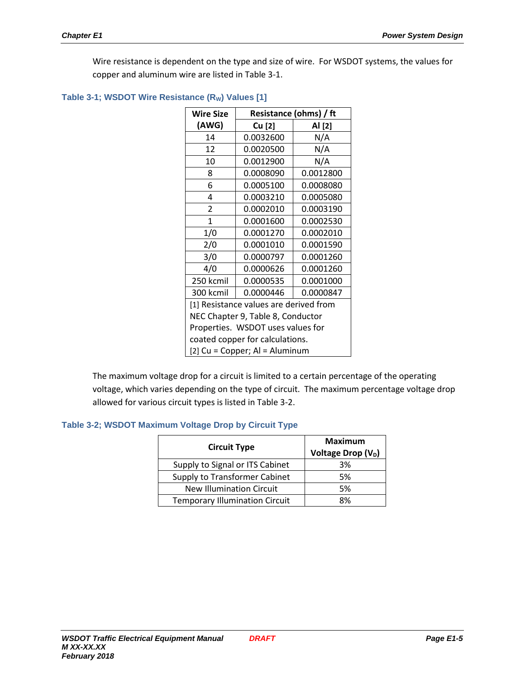Wire resistance is dependent on the type and size of wire. For WSDOT systems, the values for copper and aluminum wire are listed in Table 3-1.

| Wire Size                         |                                        | Resistance (ohms) / ft |  |  |  |  |  |  |
|-----------------------------------|----------------------------------------|------------------------|--|--|--|--|--|--|
| (AWG)                             | Cu [2]                                 | Al [2]                 |  |  |  |  |  |  |
| 14                                | 0.0032600                              | N/A                    |  |  |  |  |  |  |
| 12                                | 0.0020500                              | N/A                    |  |  |  |  |  |  |
| 10                                | 0.0012900                              | N/A                    |  |  |  |  |  |  |
| 8                                 | 0.0008090                              | 0.0012800              |  |  |  |  |  |  |
| 6                                 | 0.0005100                              | 0.0008080              |  |  |  |  |  |  |
| 4                                 | 0.0003210                              | 0.0005080              |  |  |  |  |  |  |
| 2                                 | 0.0002010                              | 0.0003190              |  |  |  |  |  |  |
| 1                                 | 0.0001600                              | 0.0002530              |  |  |  |  |  |  |
| 1/0                               | 0.0001270                              | 0.0002010              |  |  |  |  |  |  |
| 2/0                               | 0.0001010                              | 0.0001590              |  |  |  |  |  |  |
| 3/0                               | 0.0000797                              | 0.0001260              |  |  |  |  |  |  |
| 4/0                               | 0.0000626                              | 0.0001260              |  |  |  |  |  |  |
| 250 kcmil                         | 0.0000535                              | 0.0001000              |  |  |  |  |  |  |
| 300 kcmil                         | 0.0000446                              | 0.0000847              |  |  |  |  |  |  |
|                                   | [1] Resistance values are derived from |                        |  |  |  |  |  |  |
|                                   | NEC Chapter 9, Table 8, Conductor      |                        |  |  |  |  |  |  |
| Properties. WSDOT uses values for |                                        |                        |  |  |  |  |  |  |
|                                   | coated copper for calculations.        |                        |  |  |  |  |  |  |
|                                   | [2] Cu = Copper; Al = Aluminum         |                        |  |  |  |  |  |  |

#### Table 3-1; WSDOT Wire Resistance (R<sub>W</sub>) Values [1]

The maximum voltage drop for a circuit is limited to a certain percentage of the operating voltage, which varies depending on the type of circuit. The maximum percentage voltage drop allowed for various circuit types is listed in Table 3-2.

#### **Table 3-2; WSDOT Maximum Voltage Drop by Circuit Type**

| <b>Circuit Type</b>                   | <b>Maximum</b><br>Voltage Drop (V <sub>D</sub> ) |
|---------------------------------------|--------------------------------------------------|
| Supply to Signal or ITS Cabinet       | 3%                                               |
| Supply to Transformer Cabinet         | 5%                                               |
| <b>New Illumination Circuit</b>       | 5%                                               |
| <b>Temporary Illumination Circuit</b> | ጸ%                                               |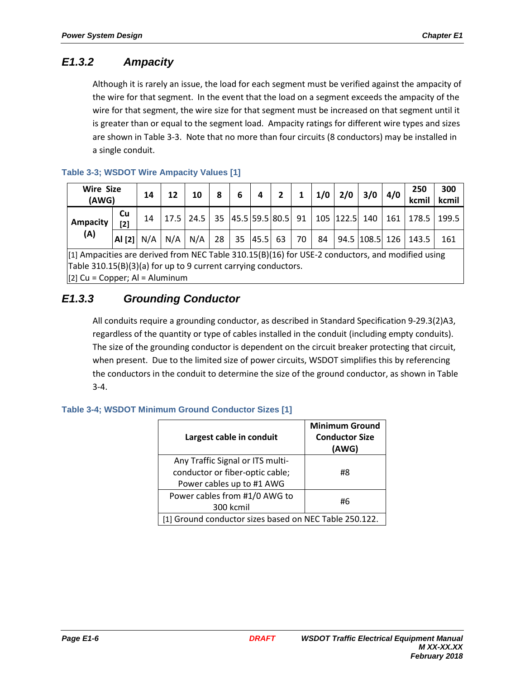# **E1.3.2 Ampacity**

Although it is rarely an issue, the load for each segment must be verified against the ampacity of the wire for that segment. In the event that the load on a segment exceeds the ampacity of the wire for that segment, the wire size for that segment must be increased on that segment until it is greater than or equal to the segment load. Ampacity ratings for different wire types and sizes are shown in Table 3-3. Note that no more than four circuits (8 conductors) may be installed in a single conduit.

| <b>Wire Size</b><br>(AWG) |                  | 14  | 12   | 10                                              | 8 | -6            | 4 | $\overline{2}$ | $\mathbf{1}$ |    | $1/0$ 2/0 3/0 |                | 4/0 | 250<br>kcmil | 300<br>kcmil |
|---------------------------|------------------|-----|------|-------------------------------------------------|---|---------------|---|----------------|--------------|----|---------------|----------------|-----|--------------|--------------|
| <b>Ampacity</b>           | <b>Cu</b><br>[2] | 14  | 17.5 | 24.5   35  45.5 59.5 80.5  91   105  122.5  140 |   |               |   |                |              |    |               |                | 161 | 178.5 199.5  |              |
| (A)                       | Al [2]           | N/A | N/A  | N/A                                             |   | 28 35 45.5 63 |   |                | 70           | 84 |               | 94.5 108.5 126 |     | 143.5        | 161          |

## **Table 3-3; WSDOT Wire Ampacity Values [1]**

[1] Ampacities are derived from NEC Table 310.15(B)(16) for USE-2 conductors, and modified using Table 310.15(B)(3)(a) for up to 9 current carrying conductors.  $[2]$  Cu = Copper; Al = Aluminum

# **E1.3.3 Grounding Conductor**

All conduits require a grounding conductor, as described in Standard Specification 9-29.3(2)A3, regardless of the quantity or type of cables installed in the conduit (including empty conduits). The size of the grounding conductor is dependent on the circuit breaker protecting that circuit, when present. Due to the limited size of power circuits, WSDOT simplifies this by referencing the conductors in the conduit to determine the size of the ground conductor, as shown in Table  $3 - 4$ .

## **Table 3-4; WSDOT Minimum Ground Conductor Sizes [1]**

| Largest cable in conduit                               | <b>Minimum Ground</b><br><b>Conductor Size</b><br>(AWG) |  |  |
|--------------------------------------------------------|---------------------------------------------------------|--|--|
| Any Traffic Signal or ITS multi-                       |                                                         |  |  |
| conductor or fiber-optic cable;                        | #8                                                      |  |  |
| Power cables up to #1 AWG                              |                                                         |  |  |
| Power cables from #1/0 AWG to                          | #6                                                      |  |  |
| 300 kcmil                                              |                                                         |  |  |
| [1] Ground conductor sizes based on NEC Table 250.122. |                                                         |  |  |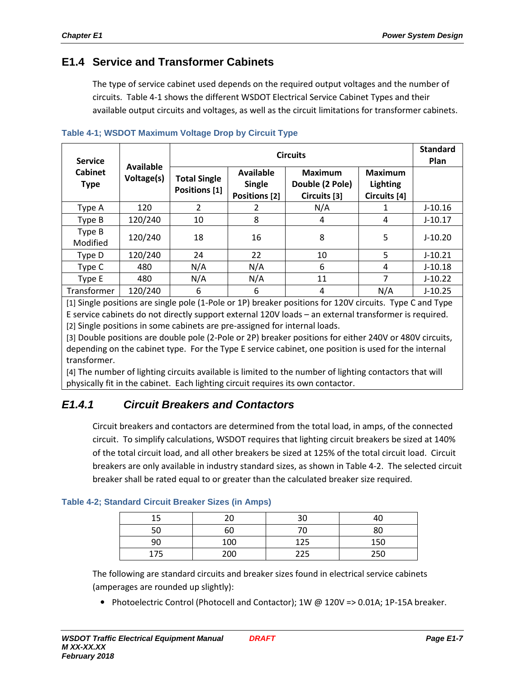## **E1.4 Service and Transformer Cabinets**

The type of service cabinet used depends on the required output voltages and the number of circuits. Table 4-1 shows the different WSDOT Electrical Service Cabinet Types and their available output circuits and voltages, as well as the circuit limitations for transformer cabinets.

| <b>Service</b>                | Available  |                                      | <b>Standard</b><br>Plan                                   |                                                   |                                                   |           |
|-------------------------------|------------|--------------------------------------|-----------------------------------------------------------|---------------------------------------------------|---------------------------------------------------|-----------|
| <b>Cabinet</b><br><b>Type</b> | Voltage(s) | <b>Total Single</b><br>Positions [1] | <b>Available</b><br><b>Single</b><br><b>Positions [2]</b> | <b>Maximum</b><br>Double (2 Pole)<br>Circuits [3] | <b>Maximum</b><br><b>Lighting</b><br>Circuits [4] |           |
| Type A                        | 120        | 2                                    | 2                                                         | N/A                                               | 1                                                 | $J-10.16$ |
| Type B                        | 120/240    | 10                                   | 8                                                         | 4                                                 | 4                                                 | $J-10.17$ |
| Type B<br>Modified            | 120/240    | 18                                   | 16                                                        | 8                                                 | 5                                                 | $J-10.20$ |
| Type D                        | 120/240    | 24                                   | 22                                                        | 10                                                | 5                                                 | $J-10.21$ |
| Type C                        | 480        | N/A                                  | N/A                                                       | 6                                                 | 4                                                 | $J-10.18$ |
| Type E                        | 480        | N/A                                  | N/A                                                       | 11                                                | 7                                                 | $J-10.22$ |
| Transformer                   | 120/240    | 6                                    | 6                                                         | 4                                                 | N/A                                               | $J-10.25$ |

**Table 4-1; WSDOT Maximum Voltage Drop by Circuit Type**

[1] Single positions are single pole (1-Pole or 1P) breaker positions for 120V circuits. Type C and Type E service cabinets do not directly support external 120V loads – an external transformer is required. [2] Single positions in some cabinets are pre-assigned for internal loads.

[3] Double positions are double pole (2-Pole or 2P) breaker positions for either 240V or 480V circuits, depending on the cabinet type. For the Type E service cabinet, one position is used for the internal transformer.

[4] The number of lighting circuits available is limited to the number of lighting contactors that will physically fit in the cabinet. Each lighting circuit requires its own contactor.

# **E1.4.1 Circuit Breakers and Contactors**

Circuit breakers and contactors are determined from the total load, in amps, of the connected circuit. To simplify calculations, WSDOT requires that lighting circuit breakers be sized at 140% of the total circuit load, and all other breakers be sized at 125% of the total circuit load. Circuit breakers are only available in industry standard sizes, as shown in Table 4-2. The selected circuit breaker shall be rated equal to or greater than the calculated breaker size required.

| 15 | n,  | 30  |     |
|----|-----|-----|-----|
| 50 | 60  |     |     |
| 90 | 100 | 125 | 150 |
| フロ | 200 | 225 | 250 |

#### **Table 4-2; Standard Circuit Breaker Sizes (in Amps)**

The following are standard circuits and breaker sizes found in electrical service cabinets (amperages are rounded up slightly):

• Photoelectric Control (Photocell and Contactor); 1W @ 120V => 0.01A; 1P-15A breaker.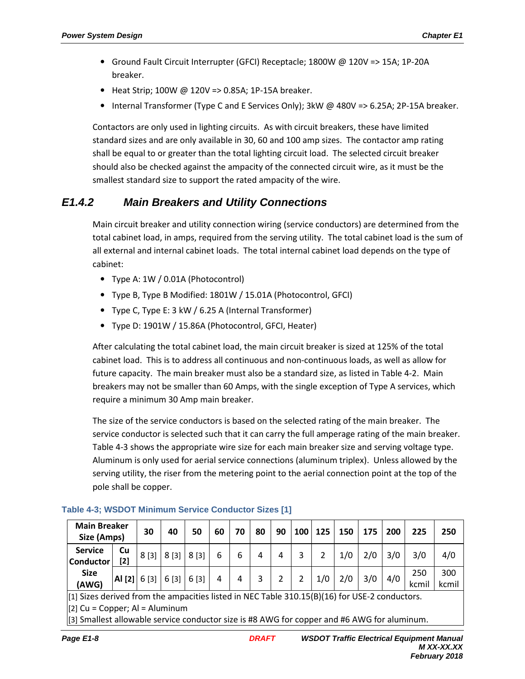- Ground Fault Circuit Interrupter (GFCI) Receptacle; 1800W @ 120V => 15A; 1P-20A breaker.
- Heat Strip; 100W @ 120V => 0.85A; 1P-15A breaker.
- Internal Transformer (Type C and E Services Only); 3kW @ 480V => 6.25A; 2P-15A breaker.

Contactors are only used in lighting circuits. As with circuit breakers, these have limited standard sizes and are only available in 30, 60 and 100 amp sizes. The contactor amp rating shall be equal to or greater than the total lighting circuit load. The selected circuit breaker should also be checked against the ampacity of the connected circuit wire, as it must be the smallest standard size to support the rated ampacity of the wire.

# **E1.4.2 Main Breakers and Utility Connections**

Main circuit breaker and utility connection wiring (service conductors) are determined from the total cabinet load, in amps, required from the serving utility. The total cabinet load is the sum of all external and internal cabinet loads. The total internal cabinet load depends on the type of cabinet:

- Type A: 1W / 0.01A (Photocontrol)
- Type B, Type B Modified: 1801W / 15.01A (Photocontrol, GFCI)
- Type C, Type E: 3 kW / 6.25 A (Internal Transformer)
- Type D: 1901W / 15.86A (Photocontrol, GFCI, Heater)

After calculating the total cabinet load, the main circuit breaker is sized at 125% of the total cabinet load. This is to address all continuous and non-continuous loads, as well as allow for future capacity. The main breaker must also be a standard size, as listed in Table 4-2. Main breakers may not be smaller than 60 Amps, with the single exception of Type A services, which require a minimum 30 Amp main breaker.

The size of the service conductors is based on the selected rating of the main breaker. The service conductor is selected such that it can carry the full amperage rating of the main breaker. Table 4-3 shows the appropriate wire size for each main breaker size and serving voltage type. Aluminum is only used for aerial service connections (aluminum triplex). Unless allowed by the serving utility, the riser from the metering point to the aerial connection point at the top of the pole shall be copper.

| <b>Main Breaker</b><br>Size (Amps) |                          | 30   | 40   | 50   | 60 | 70 | 80 | 90 | 100 | 125 | 150 | 175 | 200 | 225         | 250          |
|------------------------------------|--------------------------|------|------|------|----|----|----|----|-----|-----|-----|-----|-----|-------------|--------------|
| <b>Service</b><br><b>Conductor</b> | Cu<br>$[2]$              | 8[3] | 8[3] | 8[3] | 6  | 6  | 4  | 4  | 3   |     | 1/0 | 2/0 | 3/0 | 3/0         | 4/0          |
| <b>Size</b><br>(AWG)               | $ $ Al [2] $ $ 6 [3] $ $ |      | 6[3] | 6[3] |    | 4  | 3  |    |     | 1/0 | 2/0 | 3/0 | 4/0 | 250<br>kcmi | 300<br>kcmil |

#### **Table 4-3; WSDOT Minimum Service Conductor Sizes [1]**

[1] Sizes derived from the ampacities listed in NEC Table 310.15(B)(16) for USE-2 conductors.

 $[2]$  Cu = Copper; Al = Aluminum

[3] Smallest allowable service conductor size is #8 AWG for copper and #6 AWG for aluminum.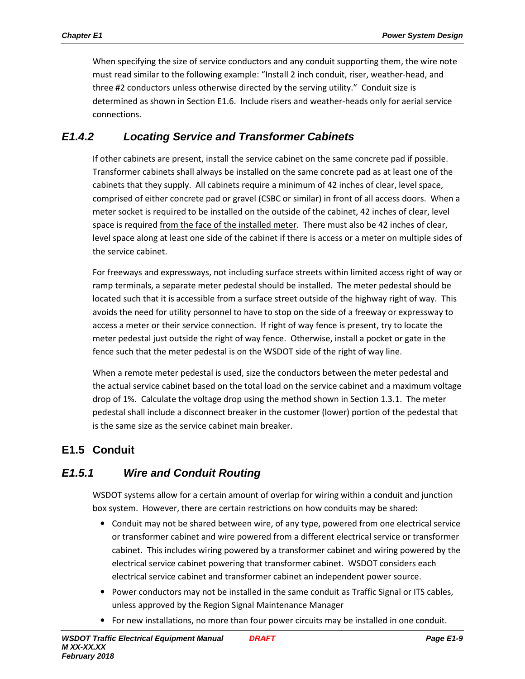When specifying the size of service conductors and any conduit supporting them, the wire note must read similar to the following example: "Install 2 inch conduit, riser, weather-head, and three #2 conductors unless otherwise directed by the serving utility." Conduit size is determined as shown in Section E1.6. Include risers and weather-heads only for aerial service connections.

# **E1.4.2 Locating Service and Transformer Cabinets**

If other cabinets are present, install the service cabinet on the same concrete pad if possible. Transformer cabinets shall always be installed on the same concrete pad as at least one of the cabinets that they supply. All cabinets require a minimum of 42 inches of clear, level space, comprised of either concrete pad or gravel (CSBC or similar) in front of all access doors. When a meter socket is required to be installed on the outside of the cabinet, 42 inches of clear, level space is required from the face of the installed meter. There must also be 42 inches of clear, level space along at least one side of the cabinet if there is access or a meter on multiple sides of the service cabinet.

For freeways and expressways, not including surface streets within limited access right of way or ramp terminals, a separate meter pedestal should be installed. The meter pedestal should be located such that it is accessible from a surface street outside of the highway right of way. This avoids the need for utility personnel to have to stop on the side of a freeway or expressway to access a meter or their service connection. If right of way fence is present, try to locate the meter pedestal just outside the right of way fence. Otherwise, install a pocket or gate in the fence such that the meter pedestal is on the WSDOT side of the right of way line.

When a remote meter pedestal is used, size the conductors between the meter pedestal and the actual service cabinet based on the total load on the service cabinet and a maximum voltage drop of 1%. Calculate the voltage drop using the method shown in Section 1.3.1. The meter pedestal shall include a disconnect breaker in the customer (lower) portion of the pedestal that is the same size as the service cabinet main breaker.

# **E1.5 Conduit**

# **E1.5.1 Wire and Conduit Routing**

WSDOT systems allow for a certain amount of overlap for wiring within a conduit and junction box system. However, there are certain restrictions on how conduits may be shared:

- Conduit may not be shared between wire, of any type, powered from one electrical service or transformer cabinet and wire powered from a different electrical service or transformer cabinet. This includes wiring powered by a transformer cabinet and wiring powered by the electrical service cabinet powering that transformer cabinet. WSDOT considers each electrical service cabinet and transformer cabinet an independent power source.
- Power conductors may not be installed in the same conduit as Traffic Signal or ITS cables, unless approved by the Region Signal Maintenance Manager
- For new installations, no more than four power circuits may be installed in one conduit.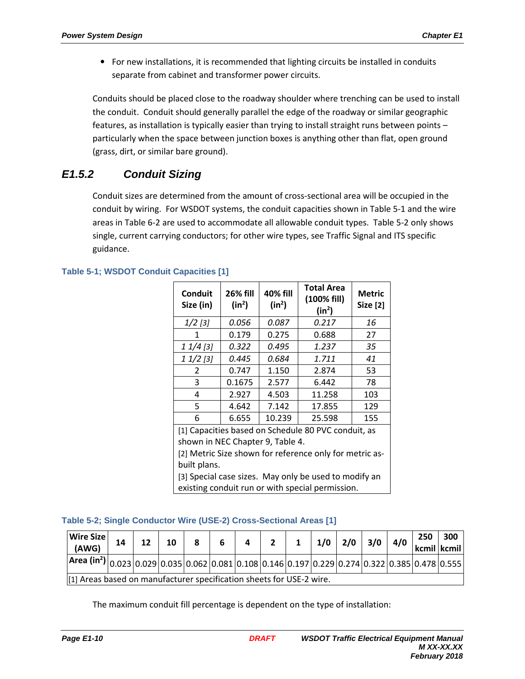• For new installations, it is recommended that lighting circuits be installed in conduits separate from cabinet and transformer power circuits.

Conduits should be placed close to the roadway shoulder where trenching can be used to install the conduit. Conduit should generally parallel the edge of the roadway or similar geographic features, as installation is typically easier than trying to install straight runs between points – particularly when the space between junction boxes is anything other than flat, open ground (grass, dirt, or similar bare ground).

# **E1.5.2 Conduit Sizing**

Conduit sizes are determined from the amount of cross-sectional area will be occupied in the conduit by wiring. For WSDOT systems, the conduit capacities shown in Table 5-1 and the wire areas in Table 6-2 are used to accommodate all allowable conduit types. Table 5-2 only shows single, current carrying conductors; for other wire types, see Traffic Signal and ITS specific guidance.

| Conduit<br>Size (in)                                    | <b>26% fill</b><br>$(in^2)$ | 40% fill<br>$(in^2)$ | <b>Total Area</b><br>(100% fill)<br>$(in^2)$        | <b>Metric</b><br><b>Size [2]</b> |  |  |  |
|---------------------------------------------------------|-----------------------------|----------------------|-----------------------------------------------------|----------------------------------|--|--|--|
| $1/2$ [3]                                               | 0.056                       | 0.087                | 0.217                                               | 16                               |  |  |  |
| 1                                                       | 0.179                       | 0.275                | 0.688                                               | 27                               |  |  |  |
| $11/4$ [3]                                              | 0.322                       | 0.495                | 1.237                                               | 35                               |  |  |  |
| $11/2$ [3]                                              | 0.445                       | 0.684                | 1.711                                               | 41                               |  |  |  |
| 2                                                       | 0.747                       | 1.150                | 2.874                                               | 53                               |  |  |  |
| 3                                                       | 0.1675                      | 2.577                | 6.442                                               | 78                               |  |  |  |
| 4                                                       | 2.927                       | 4.503                | 11.258                                              | 103                              |  |  |  |
| 5                                                       | 4.642                       | 7.142                | 17.855                                              | 129                              |  |  |  |
| 6                                                       | 6.655                       | 10.239               | 25.598                                              | 155                              |  |  |  |
|                                                         |                             |                      | [1] Capacities based on Schedule 80 PVC conduit, as |                                  |  |  |  |
| shown in NEC Chapter 9, Table 4.                        |                             |                      |                                                     |                                  |  |  |  |
| [2] Metric Size shown for reference only for metric as- |                             |                      |                                                     |                                  |  |  |  |
| built plans.                                            |                             |                      |                                                     |                                  |  |  |  |
| [3] Special case sizes. May only be used to modify an   |                             |                      |                                                     |                                  |  |  |  |
|                                                         |                             |                      | existing conduit run or with special permission.    |                                  |  |  |  |

## **Table 5-1; WSDOT Conduit Capacities [1]**

#### **Table 5-2; Single Conductor Wire (USE-2) Cross-Sectional Areas [1]**

| Wire Size<br>(AWG)                                                                                                                                                                                                            | 14 | 12 | 10 | 8 | 6 | 4 | $2^{\prime}$ | $1 \mid 1/0 \mid 2/0 \mid 3/0 \mid 4/0$ |  | 250 | 300<br>kcmil kcmil |
|-------------------------------------------------------------------------------------------------------------------------------------------------------------------------------------------------------------------------------|----|----|----|---|---|---|--------------|-----------------------------------------|--|-----|--------------------|
| $\vert$ Area (in <sup>2</sup> ) $\vert_{0.023}\vert_{0.029}\vert_{0.035}\vert_{0.062}\vert_{0.081}\vert_{0.108}\vert_{0.146}\vert_{0.197}\vert_{0.229}\vert_{0.274}\vert_{0.322}\vert_{0.385}\vert_{0.478}\vert_{0.555}\vert$ |    |    |    |   |   |   |              |                                         |  |     |                    |
| [1] Areas based on manufacturer specification sheets for USE-2 wire.                                                                                                                                                          |    |    |    |   |   |   |              |                                         |  |     |                    |

The maximum conduit fill percentage is dependent on the type of installation: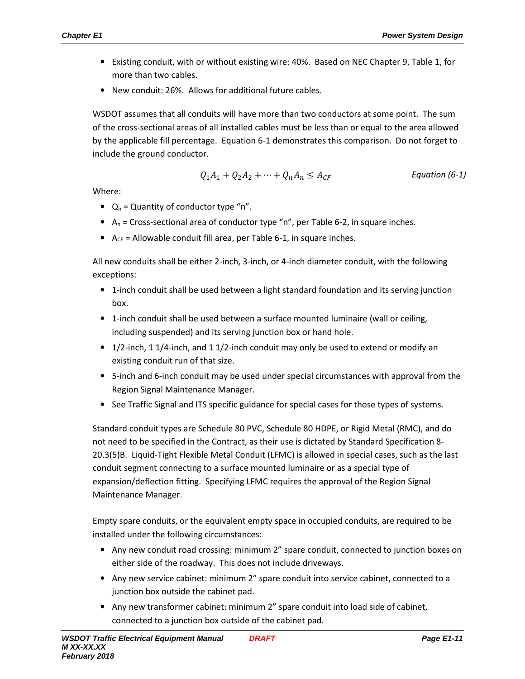- Existing conduit, with or without existing wire: 40%. Based on NEC Chapter 9, Table 1, for more than two cables.
- New conduit: 26%. Allows for additional future cables.

WSDOT assumes that all conduits will have more than two conductors at some point. The sum of the cross-sectional areas of all installed cables must be less than or equal to the area allowed by the applicable fill percentage. Equation 6-1 demonstrates this comparison. Do not forget to include the ground conductor.

$$
Q_1A_1 + Q_2A_2 + \dots + Q_nA_n \le A_{CF}
$$
 *Equation (6-1)*

Where:

- $Q_n$  = Quantity of conductor type "n".
- A<sub>n</sub> = Cross-sectional area of conductor type "n", per Table 6-2, in square inches.
- $A_{CF}$  = Allowable conduit fill area, per Table 6-1, in square inches.

All new conduits shall be either 2-inch, 3-inch, or 4-inch diameter conduit, with the following exceptions:

- 1-inch conduit shall be used between a light standard foundation and its serving junction box.
- 1-inch conduit shall be used between a surface mounted luminaire (wall or ceiling, including suspended) and its serving junction box or hand hole.
- 1/2-inch, 1 1/4-inch, and 1 1/2-inch conduit may only be used to extend or modify an existing conduit run of that size.
- 5-inch and 6-inch conduit may be used under special circumstances with approval from the Region Signal Maintenance Manager.
- See Traffic Signal and ITS specific guidance for special cases for those types of systems.

Standard conduit types are Schedule 80 PVC, Schedule 80 HDPE, or Rigid Metal (RMC), and do not need to be specified in the Contract, as their use is dictated by Standard Specification 8- 20.3(5)B. Liquid-Tight Flexible Metal Conduit (LFMC) is allowed in special cases, such as the last conduit segment connecting to a surface mounted luminaire or as a special type of expansion/deflection fitting. Specifying LFMC requires the approval of the Region Signal Maintenance Manager.

Empty spare conduits, or the equivalent empty space in occupied conduits, are required to be installed under the following circumstances:

- Any new conduit road crossing: minimum 2" spare conduit, connected to junction boxes on either side of the roadway. This does not include driveways.
- Any new service cabinet: minimum 2" spare conduit into service cabinet, connected to a junction box outside the cabinet pad.
- Any new transformer cabinet: minimum 2" spare conduit into load side of cabinet, connected to a junction box outside of the cabinet pad.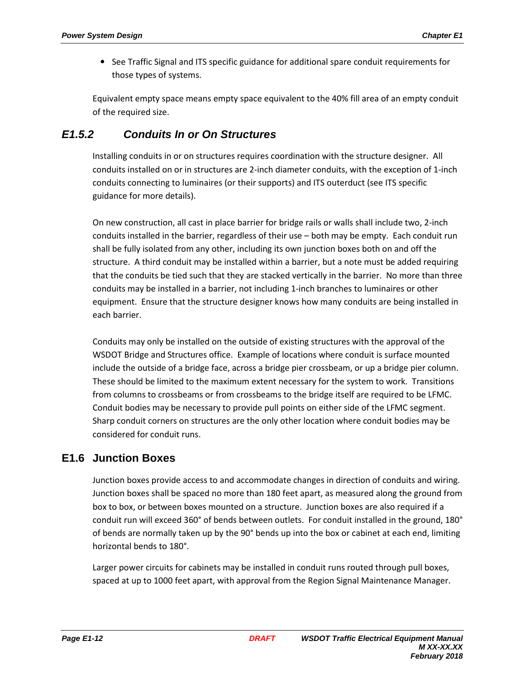• See Traffic Signal and ITS specific guidance for additional spare conduit requirements for those types of systems.

Equivalent empty space means empty space equivalent to the 40% fill area of an empty conduit of the required size.

# **E1.5.2 Conduits In or On Structures**

Installing conduits in or on structures requires coordination with the structure designer. All conduits installed on or in structures are 2-inch diameter conduits, with the exception of 1-inch conduits connecting to luminaires (or their supports) and ITS outerduct (see ITS specific guidance for more details).

On new construction, all cast in place barrier for bridge rails or walls shall include two, 2-inch conduits installed in the barrier, regardless of their use – both may be empty. Each conduit run shall be fully isolated from any other, including its own junction boxes both on and off the structure. A third conduit may be installed within a barrier, but a note must be added requiring that the conduits be tied such that they are stacked vertically in the barrier. No more than three conduits may be installed in a barrier, not including 1-inch branches to luminaires or other equipment. Ensure that the structure designer knows how many conduits are being installed in each barrier.

Conduits may only be installed on the outside of existing structures with the approval of the WSDOT Bridge and Structures office. Example of locations where conduit is surface mounted include the outside of a bridge face, across a bridge pier crossbeam, or up a bridge pier column. These should be limited to the maximum extent necessary for the system to work. Transitions from columns to crossbeams or from crossbeams to the bridge itself are required to be LFMC. Conduit bodies may be necessary to provide pull points on either side of the LFMC segment. Sharp conduit corners on structures are the only other location where conduit bodies may be considered for conduit runs.

# **E1.6 Junction Boxes**

Junction boxes provide access to and accommodate changes in direction of conduits and wiring. Junction boxes shall be spaced no more than 180 feet apart, as measured along the ground from box to box, or between boxes mounted on a structure. Junction boxes are also required if a conduit run will exceed 360° of bends between outlets. For conduit installed in the ground, 180° of bends are normally taken up by the 90° bends up into the box or cabinet at each end, limiting horizontal bends to 180°.

Larger power circuits for cabinets may be installed in conduit runs routed through pull boxes, spaced at up to 1000 feet apart, with approval from the Region Signal Maintenance Manager.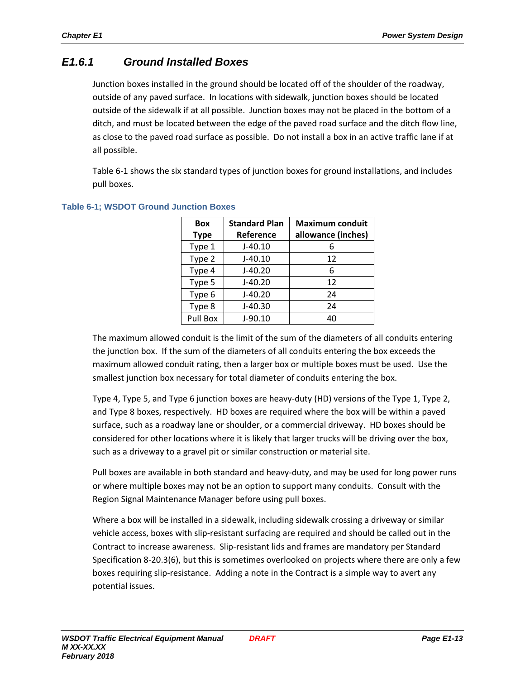# **E1.6.1 Ground Installed Boxes**

Junction boxes installed in the ground should be located off of the shoulder of the roadway, outside of any paved surface. In locations with sidewalk, junction boxes should be located outside of the sidewalk if at all possible. Junction boxes may not be placed in the bottom of a ditch, and must be located between the edge of the paved road surface and the ditch flow line, as close to the paved road surface as possible. Do not install a box in an active traffic lane if at all possible.

Table 6-1 shows the six standard types of junction boxes for ground installations, and includes pull boxes.

| <b>Box</b>  | <b>Standard Plan</b> | <b>Maximum conduit</b> |  |  |  |  |
|-------------|----------------------|------------------------|--|--|--|--|
| <b>Type</b> | Reference            | allowance (inches)     |  |  |  |  |
| Type 1      | $J-40.10$            | 6                      |  |  |  |  |
| Type 2      | $J-40.10$            | 12                     |  |  |  |  |
| Type 4      | $J-40.20$            | 6                      |  |  |  |  |
| Type 5      | $J-40.20$            | 12                     |  |  |  |  |
| Type 6      | $J-40.20$            | 24                     |  |  |  |  |
| Type 8      | $J-40.30$            | 24                     |  |  |  |  |
| Pull Box    | $J-90.10$            | 40                     |  |  |  |  |

## **Table 6-1; WSDOT Ground Junction Boxes**

The maximum allowed conduit is the limit of the sum of the diameters of all conduits entering the junction box. If the sum of the diameters of all conduits entering the box exceeds the maximum allowed conduit rating, then a larger box or multiple boxes must be used. Use the smallest junction box necessary for total diameter of conduits entering the box.

Type 4, Type 5, and Type 6 junction boxes are heavy-duty (HD) versions of the Type 1, Type 2, and Type 8 boxes, respectively. HD boxes are required where the box will be within a paved surface, such as a roadway lane or shoulder, or a commercial driveway. HD boxes should be considered for other locations where it is likely that larger trucks will be driving over the box, such as a driveway to a gravel pit or similar construction or material site.

Pull boxes are available in both standard and heavy-duty, and may be used for long power runs or where multiple boxes may not be an option to support many conduits. Consult with the Region Signal Maintenance Manager before using pull boxes.

Where a box will be installed in a sidewalk, including sidewalk crossing a driveway or similar vehicle access, boxes with slip-resistant surfacing are required and should be called out in the Contract to increase awareness. Slip-resistant lids and frames are mandatory per Standard Specification 8-20.3(6), but this is sometimes overlooked on projects where there are only a few boxes requiring slip-resistance. Adding a note in the Contract is a simple way to avert any potential issues.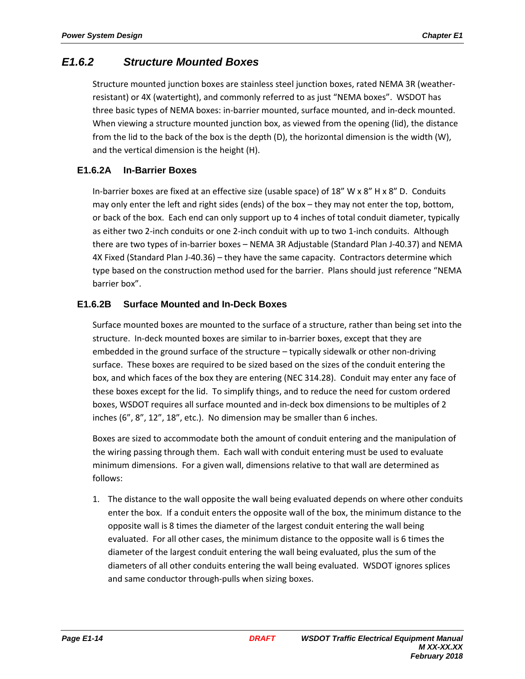## **E1.6.2 Structure Mounted Boxes**

Structure mounted junction boxes are stainless steel junction boxes, rated NEMA 3R (weatherresistant) or 4X (watertight), and commonly referred to as just "NEMA boxes". WSDOT has three basic types of NEMA boxes: in-barrier mounted, surface mounted, and in-deck mounted. When viewing a structure mounted junction box, as viewed from the opening (lid), the distance from the lid to the back of the box is the depth (D), the horizontal dimension is the width (W), and the vertical dimension is the height (H).

## **E1.6.2A In-Barrier Boxes**

In-barrier boxes are fixed at an effective size (usable space) of 18" W x 8" H x 8" D. Conduits may only enter the left and right sides (ends) of the box – they may not enter the top, bottom, or back of the box. Each end can only support up to 4 inches of total conduit diameter, typically as either two 2-inch conduits or one 2-inch conduit with up to two 1-inch conduits. Although there are two types of in-barrier boxes – NEMA 3R Adjustable (Standard Plan J-40.37) and NEMA 4X Fixed (Standard Plan J-40.36) – they have the same capacity. Contractors determine which type based on the construction method used for the barrier. Plans should just reference "NEMA barrier box".

## **E1.6.2B Surface Mounted and In-Deck Boxes**

Surface mounted boxes are mounted to the surface of a structure, rather than being set into the structure. In-deck mounted boxes are similar to in-barrier boxes, except that they are embedded in the ground surface of the structure – typically sidewalk or other non-driving surface. These boxes are required to be sized based on the sizes of the conduit entering the box, and which faces of the box they are entering (NEC 314.28). Conduit may enter any face of these boxes except for the lid. To simplify things, and to reduce the need for custom ordered boxes, WSDOT requires all surface mounted and in-deck box dimensions to be multiples of 2 inches (6", 8", 12", 18", etc.). No dimension may be smaller than 6 inches.

Boxes are sized to accommodate both the amount of conduit entering and the manipulation of the wiring passing through them. Each wall with conduit entering must be used to evaluate minimum dimensions. For a given wall, dimensions relative to that wall are determined as follows:

1. The distance to the wall opposite the wall being evaluated depends on where other conduits enter the box. If a conduit enters the opposite wall of the box, the minimum distance to the opposite wall is 8 times the diameter of the largest conduit entering the wall being evaluated. For all other cases, the minimum distance to the opposite wall is 6 times the diameter of the largest conduit entering the wall being evaluated, plus the sum of the diameters of all other conduits entering the wall being evaluated. WSDOT ignores splices and same conductor through-pulls when sizing boxes.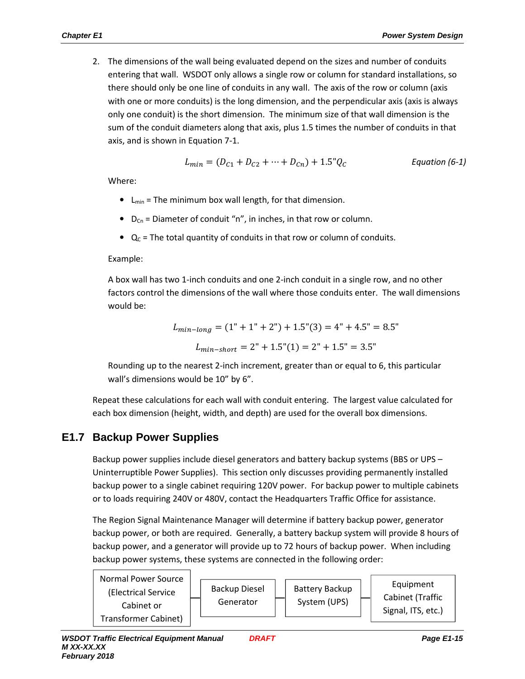2. The dimensions of the wall being evaluated depend on the sizes and number of conduits entering that wall. WSDOT only allows a single row or column for standard installations, so there should only be one line of conduits in any wall. The axis of the row or column (axis with one or more conduits) is the long dimension, and the perpendicular axis (axis is always only one conduit) is the short dimension. The minimum size of that wall dimension is the sum of the conduit diameters along that axis, plus 1.5 times the number of conduits in that axis, and is shown in Equation 7-1.

$$
L_{min} = (D_{C1} + D_{C2} + \dots + D_{Cn}) + 1.5^{\circ} Q_{C}
$$
 Equation (6-1)

Where:

- $\bullet$  L<sub>min</sub> = The minimum box wall length, for that dimension.
- $D_{Cn}$  = Diameter of conduit "n", in inches, in that row or column.
- $Q_c$  = The total quantity of conduits in that row or column of conduits.

#### Example:

A box wall has two 1-inch conduits and one 2-inch conduit in a single row, and no other factors control the dimensions of the wall where those conduits enter. The wall dimensions would be:

$$
L_{min-long} = (1" + 1" + 2") + 1.5"(3) = 4" + 4.5" = 8.5"
$$

$$
L_{min-short} = 2" + 1.5" (1) = 2" + 1.5" = 3.5"
$$

Rounding up to the nearest 2-inch increment, greater than or equal to 6, this particular wall's dimensions would be 10" by 6".

Repeat these calculations for each wall with conduit entering. The largest value calculated for each box dimension (height, width, and depth) are used for the overall box dimensions.

## **E1.7 Backup Power Supplies**

Backup power supplies include diesel generators and battery backup systems (BBS or UPS – Uninterruptible Power Supplies). This section only discusses providing permanently installed backup power to a single cabinet requiring 120V power. For backup power to multiple cabinets or to loads requiring 240V or 480V, contact the Headquarters Traffic Office for assistance.

The Region Signal Maintenance Manager will determine if battery backup power, generator backup power, or both are required. Generally, a battery backup system will provide 8 hours of backup power, and a generator will provide up to 72 hours of backup power. When including backup power systems, these systems are connected in the following order: